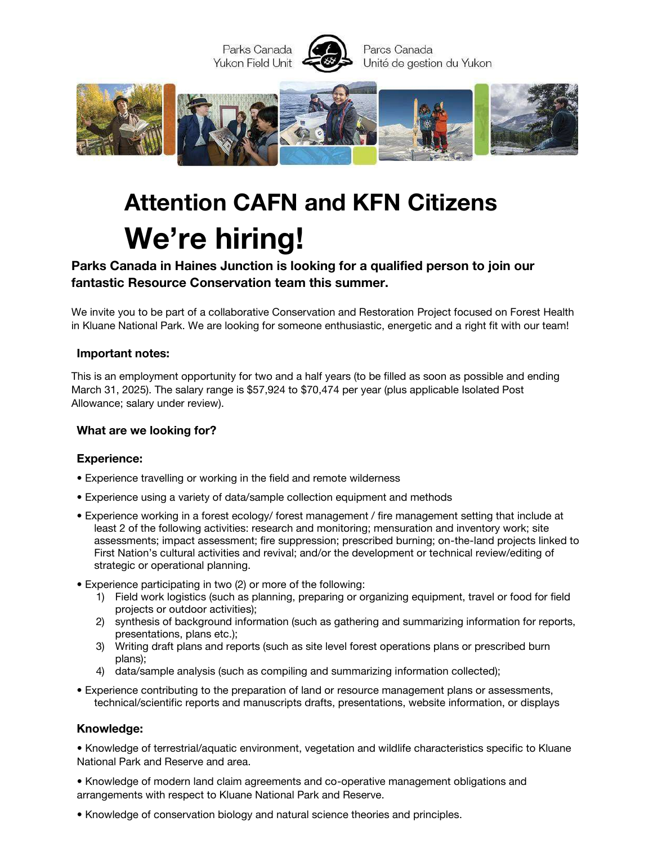

# **Attention CAFN and KFN Citizens We're hiring!**

# **Parks Canada in Haines Junction is looking for a qualified person to join our fantastic Resource Conservation team this summer.**

We invite you to be part of a collaborative Conservation and Restoration Project focused on Forest Health in Kluane National Park. We are looking for someone enthusiastic, energetic and a right fit with our team!

#### **Important notes:**

This is an employment opportunity for two and a half years (to be filled as soon as possible and ending March 31, 2025). The salary range is \$57,924 to \$70,474 per year (plus applicable Isolated Post Allowance; salary under review).

#### **What are we looking for?**

#### **Experience:**

- Experience travelling or working in the field and remote wilderness
- Experience using a variety of data/sample collection equipment and methods
- Experience working in a forest ecology/ forest management / fire management setting that include at least 2 of the following activities: research and monitoring; mensuration and inventory work; site assessments; impact assessment; fire suppression; prescribed burning; on-the-land projects linked to First Nation's cultural activities and revival; and/or the development or technical review/editing of strategic or operational planning.
- Experience participating in two (2) or more of the following:
	- 1) Field work logistics (such as planning, preparing or organizing equipment, travel or food for field projects or outdoor activities);
	- 2) synthesis of background information (such as gathering and summarizing information for reports, presentations, plans etc.);
	- 3) Writing draft plans and reports (such as site level forest operations plans or prescribed burn plans);
	- 4) data/sample analysis (such as compiling and summarizing information collected);
- Experience contributing to the preparation of land or resource management plans or assessments, technical/scientific reports and manuscripts drafts, presentations, website information, or displays

#### **Knowledge:**

• Knowledge of terrestrial/aquatic environment, vegetation and wildlife characteristics specific to Kluane National Park and Reserve and area.

• Knowledge of modern land claim agreements and co-operative management obligations and arrangements with respect to Kluane National Park and Reserve.

• Knowledge of conservation biology and natural science theories and principles.